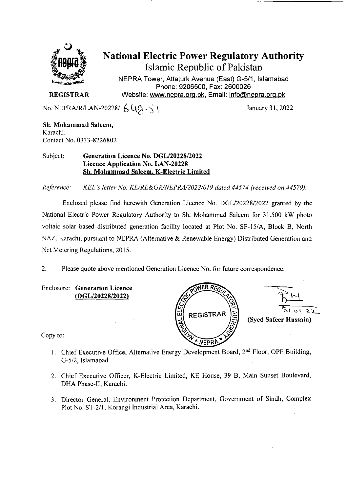

# National Electric Power Regulatory Authority Islamic Republic of Pakistan

NEPRA Tower, Attaturk Avenue (East) *G-511,* Islamabad Phone: 9206500, Fax: 2600026 **REGISTRAR** Website: www.nepra.org.pk, Email: info@nepra.org.pk

No. NEPRA/R/LAN-20228/  $6\sqrt{9}-5$ 

Sh. Mohammad Saleem, Karachi. Contact No. 0333-8226802

Subject: **Generation Licence** No. *DGL12022812022*  Licence Application No. LAN-20228 Sh. Mohammad Saleem, K-Electric Limited

*Reference: KEL 's letter No. KE/RE&GRJNEPRA/2022/019 dated 44574 (received on 44579).* 

Enclosed please find herewith Generation Licence No. DGL/20228/2022 granted by the National Electric Power Regulatory Authority to Sh. Mohammad Saleem for 31.500 kW photo voltaic solar based distributed generation facility located at Plot No. SF-15/A, Block B, North NAZ. Karachi, pursuant to NEPRA (Alternative & Renewable Energy) Distributed Generation and Net Metering Regulations, 2015.

2. Please quote above mentioned Generation Licence No. for future correspondence.

Enclosure: **Generation Licence (DGL/20228/2022)** 

NER RA c **REGISTRAR** (Syed Safeer Hussain) NEDRI

Copy to:

- 1. Chief Executive Office, Alternative Energy Development Board, 2<sup>nd</sup> Floor, OPF Building, G-5/2, Islamabad.
- 2. Chief Executive Officer, K-Electric Limited, KE House, 39 B, Main Sunset Boulevard, DHA Phase-II, Karachi.
- 3. Director General, Environment Protection Department, Government of Sindh, Complex Plot No. ST-2/I. Korangi Industrial Area, Karachi.